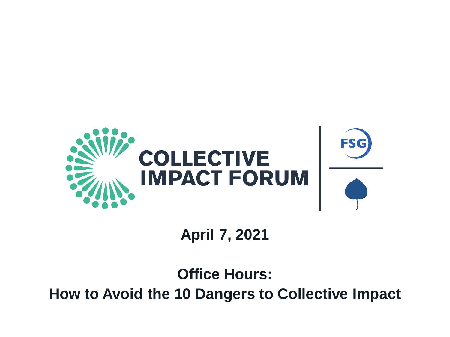

## **April 7, 2021**

## **Office Hours: How to Avoid the 10 Dangers to Collective Impact**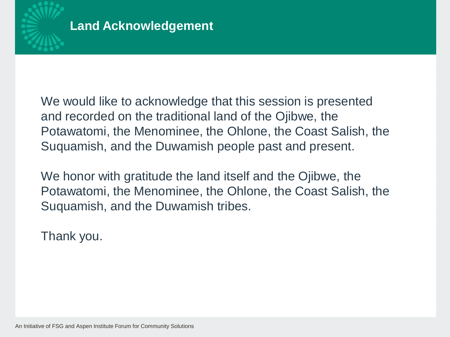

We would like to acknowledge that this session is presented and recorded on the traditional land of the Ojibwe, the Potawatomi, the Menominee, the Ohlone, the Coast Salish, the Suquamish, and the Duwamish people past and present.

We honor with gratitude the land itself and the Ojibwe, the Potawatomi, the Menominee, the Ohlone, the Coast Salish, the Suquamish, and the Duwamish tribes.

Thank you.

An Initiative of FSG and Aspen Institute Forum for Community Solutions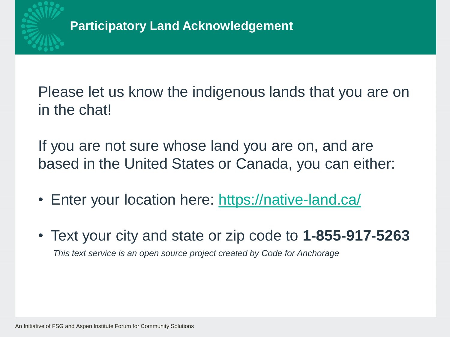

Please let us know the indigenous lands that you are on in the chat!

If you are not sure whose land you are on, and are based in the United States or Canada, you can either:

- Enter your location here: <https://native-land.ca/>
- Text your city and state or zip code to **1-855-917-5263** *This text service is an open source project created by Code for Anchorage*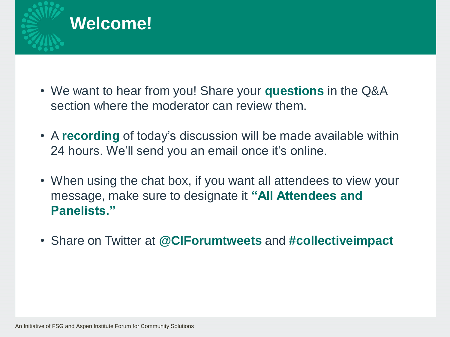

- We want to hear from you! Share your **questions** in the Q&A section where the moderator can review them.
- A **recording** of today's discussion will be made available within 24 hours. We'll send you an email once it's online.
- When using the chat box, if you want all attendees to view your message, make sure to designate it **"All Attendees and Panelists."**
- Share on Twitter at **@CIForumtweets** and **#collectiveimpact**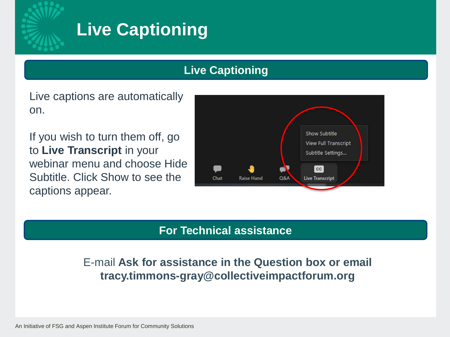

# **Live Captioning**

### **Live Captioning**

Live captions are automatically on.

If you wish to turn them off, go to **Live Transcript** in your webinar menu and choose Hide Subtitle. Click Show to see the captions appear.



#### **For Technical assistance**

E-mail **Ask for assistance in the Question box or email tracy.timmons-gray@collectiveimpactforum.org**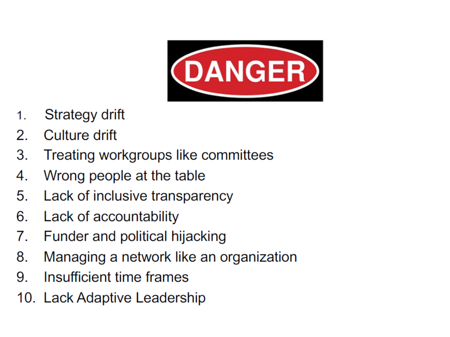

- Strategy drift 1.
- 2. Culture drift
- Treating workgroups like committees 3.
- Wrong people at the table 4.
- Lack of inclusive transparency 5.
- 6. Lack of accountability
- Funder and political hijacking 7.
- Managing a network like an organization 8.
- Insufficient time frames 9.
- 10. Lack Adaptive Leadership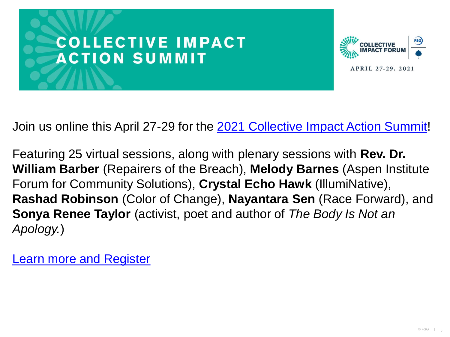



Join us online this April 27-29 for the [2021 Collective Impact Action Summit!](https://collectiveimpactforum.swoogo.com/cias2021/830624)

Featuring 25 virtual sessions, along with plenary sessions with **Rev. Dr. William Barber** (Repairers of the Breach), **Melody Barnes** (Aspen Institute Forum for Community Solutions), **Crystal Echo Hawk** (IllumiNative), **Rashad Robinson** (Color of Change), **Nayantara Sen** (Race Forward), and **Sonya Renee Taylor** (activist, poet and author of *The Body Is Not an Apology.*)

[Learn more and Register](https://collectiveimpactforum.swoogo.com/cias2021/830624)